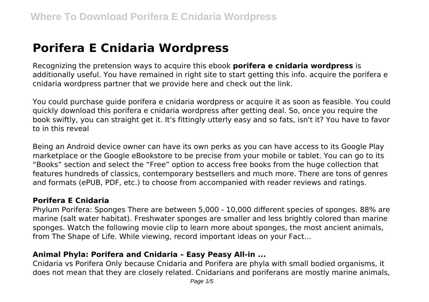# **Porifera E Cnidaria Wordpress**

Recognizing the pretension ways to acquire this ebook **porifera e cnidaria wordpress** is additionally useful. You have remained in right site to start getting this info. acquire the porifera e cnidaria wordpress partner that we provide here and check out the link.

You could purchase guide porifera e cnidaria wordpress or acquire it as soon as feasible. You could quickly download this porifera e cnidaria wordpress after getting deal. So, once you require the book swiftly, you can straight get it. It's fittingly utterly easy and so fats, isn't it? You have to favor to in this reveal

Being an Android device owner can have its own perks as you can have access to its Google Play marketplace or the Google eBookstore to be precise from your mobile or tablet. You can go to its "Books" section and select the "Free" option to access free books from the huge collection that features hundreds of classics, contemporary bestsellers and much more. There are tons of genres and formats (ePUB, PDF, etc.) to choose from accompanied with reader reviews and ratings.

## **Porifera E Cnidaria**

Phylum Porifera: Sponges There are between 5,000 - 10,000 different species of sponges. 88% are marine (salt water habitat). Freshwater sponges are smaller and less brightly colored than marine sponges. Watch the following movie clip to learn more about sponges, the most ancient animals, from The Shape of Life. While viewing, record important ideas on your Fact…

#### **Animal Phyla: Porifera and Cnidaria – Easy Peasy All-in ...**

Cnidaria vs Porifera Only because Cnidaria and Porifera are phyla with small bodied organisms, it does not mean that they are closely related. Cnidarians and poriferans are mostly marine animals,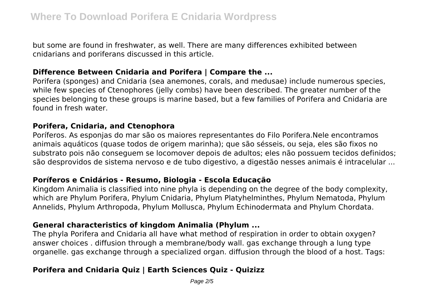but some are found in freshwater, as well. There are many differences exhibited between cnidarians and poriferans discussed in this article.

#### **Difference Between Cnidaria and Porifera | Compare the ...**

Porifera (sponges) and Cnidaria (sea anemones, corals, and medusae) include numerous species, while few species of Ctenophores (jelly combs) have been described. The greater number of the species belonging to these groups is marine based, but a few families of Porifera and Cnidaria are found in fresh water.

#### **Porifera, Cnidaria, and Ctenophora**

Poríferos. As esponjas do mar são os maiores representantes do Filo Porifera.Nele encontramos animais aquáticos (quase todos de origem marinha); que são sésseis, ou seja, eles são fixos no substrato pois não conseguem se locomover depois de adultos; eles não possuem tecidos definidos; são desprovidos de sistema nervoso e de tubo digestivo, a digestão nesses animais é intracelular ...

#### **Poríferos e Cnidários - Resumo, Biologia - Escola Educação**

Kingdom Animalia is classified into nine phyla is depending on the degree of the body complexity, which are Phylum Porifera, Phylum Cnidaria, Phylum Platyhelminthes, Phylum Nematoda, Phylum Annelids, Phylum Arthropoda, Phylum Mollusca, Phylum Echinodermata and Phylum Chordata.

#### **General characteristics of kingdom Animalia (Phylum ...**

The phyla Porifera and Cnidaria all have what method of respiration in order to obtain oxygen? answer choices . diffusion through a membrane/body wall. gas exchange through a lung type organelle. gas exchange through a specialized organ. diffusion through the blood of a host. Tags:

# **Porifera and Cnidaria Quiz | Earth Sciences Quiz - Quizizz**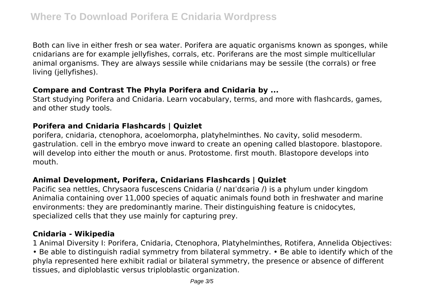Both can live in either fresh or sea water. Porifera are aquatic organisms known as sponges, while cnidarians are for example jellyfishes, corrals, etc. Poriferans are the most simple multicellular animal organisms. They are always sessile while cnidarians may be sessile (the corrals) or free living (jellyfishes).

#### **Compare and Contrast The Phyla Porifera and Cnidaria by ...**

Start studying Porifera and Cnidaria. Learn vocabulary, terms, and more with flashcards, games, and other study tools.

#### **Porifera and Cnidaria Flashcards | Quizlet**

porifera, cnidaria, ctenophora, acoelomorpha, platyhelminthes. No cavity, solid mesoderm. gastrulation. cell in the embryo move inward to create an opening called blastopore. blastopore. will develop into either the mouth or anus. Protostome. first mouth. Blastopore develops into mouth.

## **Animal Development, Porifera, Cnidarians Flashcards | Quizlet**

Pacific sea nettles, Chrysaora fuscescens Cnidaria (/ naɪˈdɛəriə /) is a phylum under kingdom Animalia containing over 11,000 species of aquatic animals found both in freshwater and marine environments: they are predominantly marine. Their distinguishing feature is cnidocytes, specialized cells that they use mainly for capturing prey.

## **Cnidaria - Wikipedia**

1 Animal Diversity I: Porifera, Cnidaria, Ctenophora, Platyhelminthes, Rotifera, Annelida Objectives: • Be able to distinguish radial symmetry from bilateral symmetry. • Be able to identify which of the phyla represented here exhibit radial or bilateral symmetry, the presence or absence of different tissues, and diploblastic versus triploblastic organization.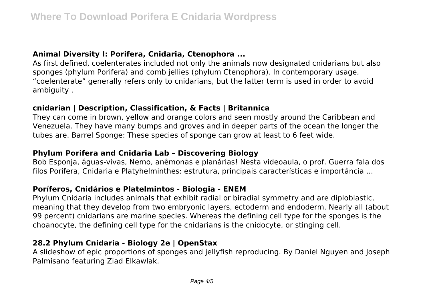## **Animal Diversity I: Porifera, Cnidaria, Ctenophora ...**

As first defined, coelenterates included not only the animals now designated cnidarians but also sponges (phylum Porifera) and comb jellies (phylum Ctenophora). In contemporary usage, "coelenterate" generally refers only to cnidarians, but the latter term is used in order to avoid ambiguity .

# **cnidarian | Description, Classification, & Facts | Britannica**

They can come in brown, yellow and orange colors and seen mostly around the Caribbean and Venezuela. They have many bumps and groves and in deeper parts of the ocean the longer the tubes are. Barrel Sponge: These species of sponge can grow at least to 6 feet wide.

# **Phylum Porifera and Cnidaria Lab – Discovering Biology**

Bob Esponja, águas-vivas, Nemo, anêmonas e planárias! Nesta videoaula, o prof. Guerra fala dos filos Porifera, Cnidaria e Platyhelminthes: estrutura, principais características e importância ...

## **Poríferos, Cnidários e Platelmintos - Biologia - ENEM**

Phylum Cnidaria includes animals that exhibit radial or biradial symmetry and are diploblastic, meaning that they develop from two embryonic layers, ectoderm and endoderm. Nearly all (about 99 percent) cnidarians are marine species. Whereas the defining cell type for the sponges is the choanocyte, the defining cell type for the cnidarians is the cnidocyte, or stinging cell.

## **28.2 Phylum Cnidaria - Biology 2e | OpenStax**

A slideshow of epic proportions of sponges and jellyfish reproducing. By Daniel Nguyen and Joseph Palmisano featuring Ziad Elkawlak.